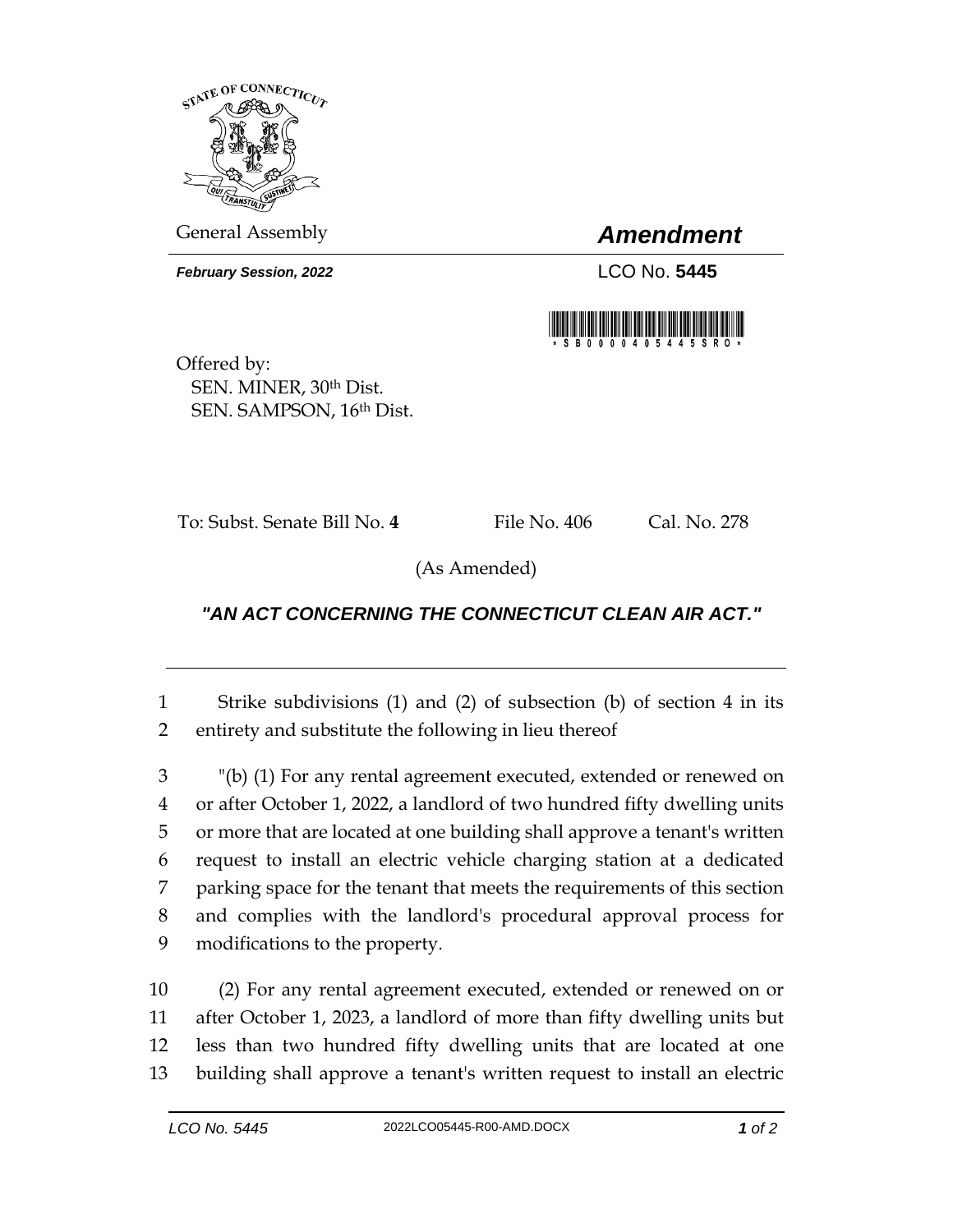

General Assembly *Amendment*

*February Session, 2022* LCO No. 5445



Offered by: SEN. MINER, 30th Dist. SEN. SAMPSON, 16th Dist.

To: Subst. Senate Bill No. **4** File No. 406 Cal. No. 278

(As Amended)

## *"AN ACT CONCERNING THE CONNECTICUT CLEAN AIR ACT."*

1 Strike subdivisions (1) and (2) of subsection (b) of section 4 in its 2 entirety and substitute the following in lieu thereof

 "(b) (1) For any rental agreement executed, extended or renewed on or after October 1, 2022, a landlord of two hundred fifty dwelling units or more that are located at one building shall approve a tenant's written request to install an electric vehicle charging station at a dedicated parking space for the tenant that meets the requirements of this section and complies with the landlord's procedural approval process for modifications to the property.

 (2) For any rental agreement executed, extended or renewed on or after October 1, 2023, a landlord of more than fifty dwelling units but less than two hundred fifty dwelling units that are located at one building shall approve a tenant's written request to install an electric